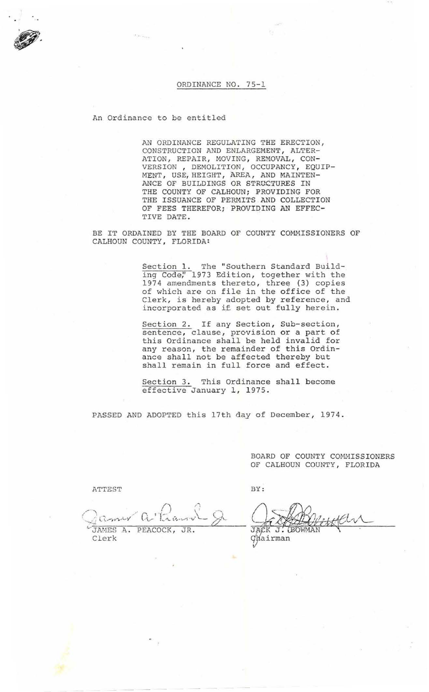## ORDINANCE NO. 75-1

An Ordinance to be entitled

AN ORDINANCE REGULATING THE ERECTION, CONSTRUCTION AND ENLARGEMENT , ALTER-ATION, REPAIR, MOVING, REMOVAL, CON-VERSION, DEMOLITION, OCCUPANCY, EQUIP-MENT, USE, HEIGHT, AREA, AND MAINTEN-ANCE OF BUILDINGS OR STRUCTURES IN THE COUNTY OF CALHOUN; PROVIDING FOR THE ISSUANCE OF PERMITS AND COLLECTION OF FEES THEREFOR; PROVIDING AN EFFEC-TIVE DATE .

BE IT ORDAINED BY THE BOARD OF COUNTY COMMISSIONERS OF CALHOUN COUNTY, FLORIDA:

> Section 1. The "Southern Standard Building Code," 1973 Edition, together with the 1974 amendments thereto, three (3) copies of which are on file in the office of the Clerk, is hereby adopted by reference, and incorporated as if set out fully herein.

Section 2. If any Section, Sub-section, sentence, clause, provision or a part of this Ordinance shall be held invalid for any reason, the remainder of this Ordinance shall not be affected thereby but shall remain in full force and effect.

Section 3. This Ordinance shall become effective January 1, 1975.

PASSED AND ADOPTED this 17th day of December, 1974.

BOARD OF COUNTY COMMISSIONERS OF CALHOUN COUNTY, FLORIDA

ATTEST

/ . *n*   $\hat{C}$  $\hat{C}$ Jamer a Karl & JAMES A. PEACOCK, JR. Clerk

ghairman

BY:

JACK J. **BOW**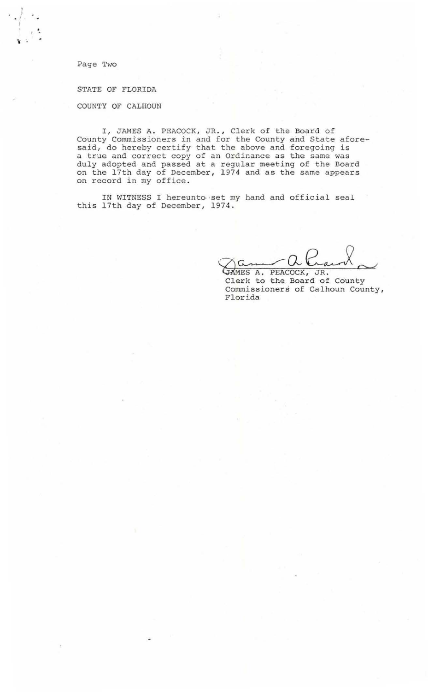Page Two

 $\cdot$   $\}$ 

·-

STATE OF FLORIDA

COUNTY OF CALHOUN

I, JAMES A. PEACOCK, JR., Clerk of the Board of County Commissioners in and for the County and State aforesaid, do hereby certify that the above and foregoing is a true and correct copy of an Ordinance as the same was duly adopted and passed at a regular meeting of the Board on the 17th day of December, 1974 and as the same appears on record in my office.

IN WITNESS I hereunto set my hand and official seal this 17th day of December, 1974.

JAMES A. PEACOCK, JR.

Clerk to the Board of County Commissioners of Calhoun County, Florida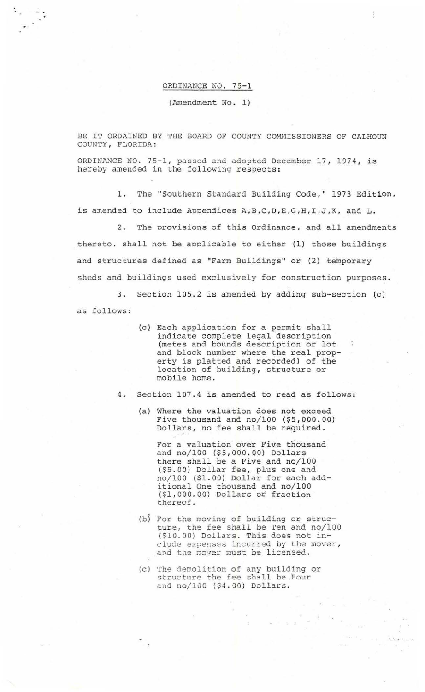ORDINANCE NO. 75-1

 $\frac{1}{\sqrt{2}}$ 

(Amendment No. 1)

BE IT ORDAINED BY THE BOARD OF COUNTY COMNISSIONERS OF CALHOUN COUNTY, FLORIDA :

ORDINANCE NO. 75-1, passed and adopted December 17, 1974, is hereby amended in the following respects:

1. The "Southern Standard Building Code," 1973 Edition, is amended to include Appendices A, B, C, D, E, G, H, I, J, K, and L.

2. The provisions of this Ordinance , and all amendments thereto, shall not be applicable to either (1) those buildings and structures defined as "Farm Buildings" or (2) temporary sheds and buildings used exclusively for construction purposes.

3. Section 105.2 is amended by adding sub-section (c) as follows:

> (c). Each application for a permit shall indicate complete legal description (metes and bounds description or lot and block number where the real property is platted and recorded) of the location of building, structure or mobile home.

4. Section 107.4 is amended to read as follows:

(a) Where the valuation does not exceed Five thousand and  $no/100$  (\$5,000.00) Dollars, no fee shall be required.

For a valuation over Five thousand and no/100 (\$5,000.00) Dollars there shall be a Five and no/100 (\$5 . 00) Dollar fee , plus one and no/100 (\$1 . 00) Dollar for each additional One thousand and no/100 (\$1,000.00) Dollars or fraction thereof.

- (b} For the moving of building or structure, the fee shall be Ten and no/100 {\$10.00) Dollars. This does not include expenses incurred by the mover, and the mover must be licensed .
- (c) The demolition of any building or structure the fee shall be .Four and no/100 (\$4.00) Dollars.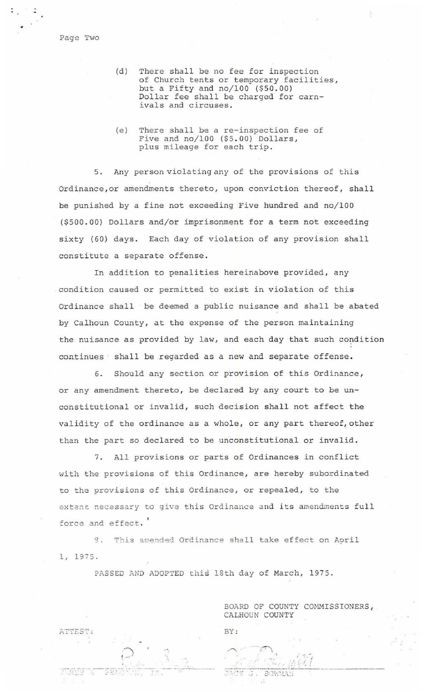Page Two

 $\sim$   $\frac{1}{2}$ 

- (d) There shall be no fee for inspection of Church tents or temporary facilities , but a Fifty and no/100 (\$50.00) Dollar fee shall be charged for carnivals and circuses.
- (e) There shall be a re-inspection fee of Five and no/100 (\$5.00) Dollars, plus mileage for each trip.

5. Any person violating any of the provisions of this Ordinance , or amendments thereto, upon conviction thereof, shall be punished by a fine not exceeding Five hundred and no/100 (\$500 . 00) Dollars and/or imprisonment for a term not exceeding sixty (60) days. Each day of violation of any provision shall constitute a separate offense.

In addition to penalities hereinabove provided, any condition caused or permitted to exist in violation of this Ordinance shall be deemed a public nuisance and shall be abated by Calhoun County, at the expense of the person maintaining the nuisance as provided by law, and each day that such condition continues shall be regarded as a new and separate offense.

6. Should any section or provision of this Ordinance, or any amendment thereto, be declared by any court to be unconstitutional or invalid, such decision shall not affect the validity of the ordinance as a whole, or any part thereof, other than the part so declared to be unconstitutional or invalid.

7. All provisions or parts of Ordinances in conflict with the provisions of this Ordinance, are hereby subordinated to the provisions of this Ordinance, or repealed, to the extent necessary to give this Ordinance and its amendments full force and effect.

9. This amended Ordinance shall take effect on April 1, 1975 .

PASSED AND ADOPTED this 18th day of March, 1975.

P : 3

550

ATTEST:

BOARD OF COUNTY COMMISSIONERS, CALHOUN COUNTY

BY :

.. , . ~ ~  $1, 7, 7$ .'. t. I I ---.. -~-- --·--~~- <sup>~</sup>. ,